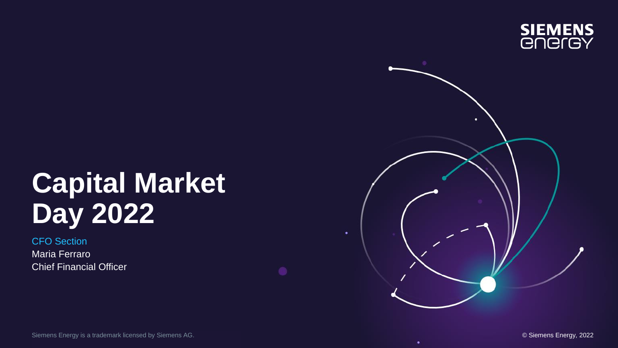

# **Capital Market Day 2022**

CFO Section Maria Ferraro Chief Financial Officer

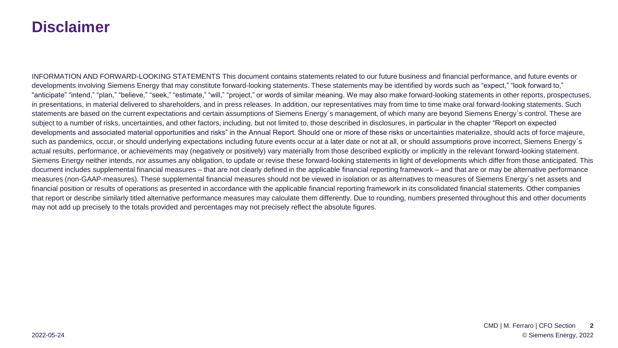#### **Disclaimer**

INFORMATION AND FORWARD-LOOKING STATEMENTS This document contains statements related to our future business and financial performance, and future events or developments involving Siemens Energy that may constitute forward-looking statements. These statements may be identified by words such as "expect," "look forward to," "anticipate" "intend," "plan," "believe," "seek," "estimate," "will," "project," or words of similar meaning. We may also make forward-looking statements in other reports, prospectuses, in presentations, in material delivered to shareholders, and in press releases. In addition, our representatives may from time to time make oral forward-looking statements. Such statements are based on the current expectations and certain assumptions of Siemens Energy´s management, of which many are beyond Siemens Energy´s control. These are subject to a number of risks, uncertainties, and other factors, including, but not limited to, those described in disclosures, in particular in the chapter "Report on expected developments and associated material opportunities and risks" in the Annual Report. Should one or more of these risks or uncertainties materialize, should acts of force majeure, such as pandemics, occur, or should underlying expectations including future events occur at a later date or not at all, or should assumptions prove incorrect, Siemens Energy's actual results, performance, or achievements may (negatively or positively) vary materially from those described explicitly or implicitly in the relevant forward-looking statement. Siemens Energy neither intends, nor assumes any obligation, to update or revise these forward-looking statements in light of developments which differ from those anticipated. This document includes supplemental financial measures – that are not clearly defined in the applicable financial reporting framework – and that are or may be alternative performance measures (non-GAAP-measures). These supplemental financial measures should not be viewed in isolation or as alternatives to measures of Siemens Energy´s net assets and financial position or results of operations as presented in accordance with the applicable financial reporting framework in its consolidated financial statements. Other companies that report or describe similarly titled alternative performance measures may calculate them differently. Due to rounding, numbers presented throughout this and other documents may not add up precisely to the totals provided and percentages may not precisely reflect the absolute figures.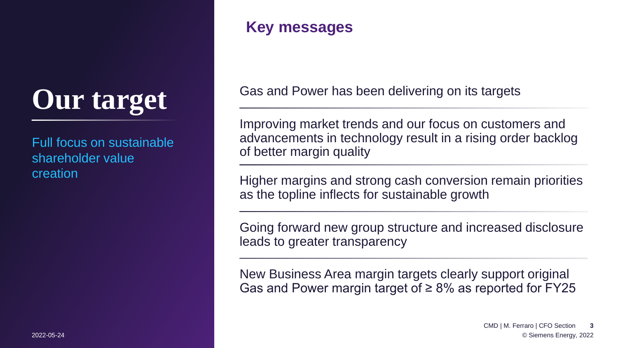# **Our target**

Full focus on sustainable shareholder value creation

#### **Key messages**

Gas and Power has been delivering on its targets

Improving market trends and our focus on customers and advancements in technology result in a rising order backlog of better margin quality

Higher margins and strong cash conversion remain priorities as the topline inflects for sustainable growth

Going forward new group structure and increased disclosure leads to greater transparency

New Business Area margin targets clearly support original Gas and Power margin target of  $\geq 8\%$  as reported for FY25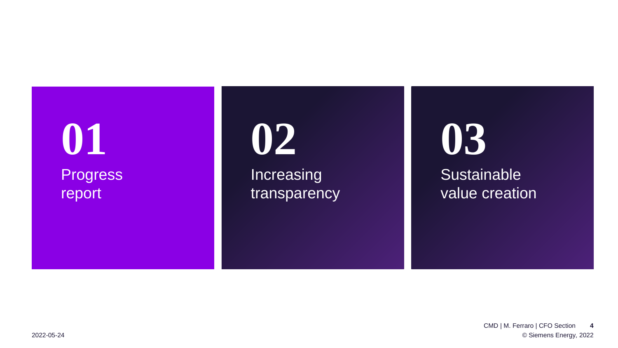## **Progress** report **01 02 03**

Increasing transparency **Sustainable** 

value creation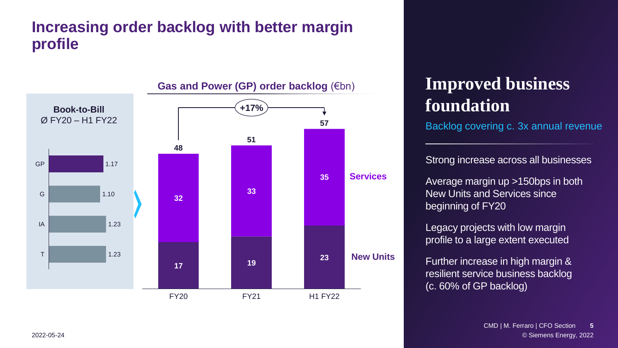#### **Increasing order backlog with better margin profile**



#### Gas and Power (GP) order backlog (€bn)

## **Improved business foundation**

Backlog covering c. 3x annual revenue

Strong increase across all businesses

Average margin up >150bps in both New Units and Services since beginning of FY20

Legacy projects with low margin profile to a large extent executed

Further increase in high margin & resilient service business backlog (c. 60% of GP backlog)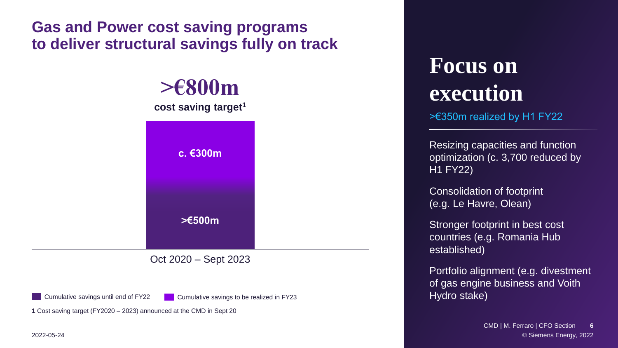#### **Gas and Power cost saving programs to deliver structural savings fully on track**

**c. €300m >€500m >€800m cost saving target<sup>1</sup>**

Oct 2020 – Sept 2023

Cumulative savings until end of FY22 Cumulative savings to be realized in FY23

**1** Cost saving target (FY2020 – 2023) announced at the CMD in Sept 20

2022-05-24

## **Focus on execution**

>€350m realized by H1 FY22

Resizing capacities and function optimization (c. 3,700 reduced by H1 FY22)

Consolidation of footprint (e.g. Le Havre, Olean)

Stronger footprint in best cost countries (e.g. Romania Hub established)

Portfolio alignment (e.g. divestment of gas engine business and Voith Hydro stake)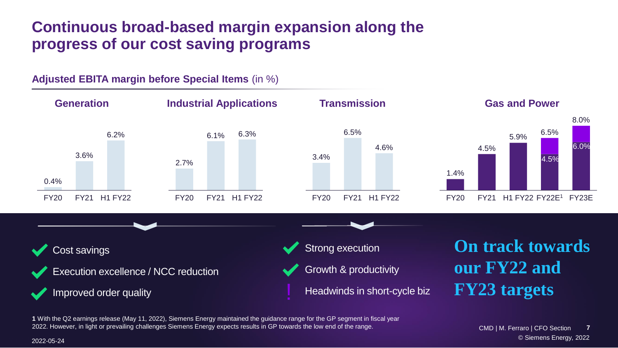#### **Continuous broad-based margin expansion along the progress of our cost saving programs**



**1** With the Q2 earnings release (May 11, 2022), Siemens Energy maintained the guidance range for the GP segment in fiscal year 2022. However, in light or prevailing challenges Siemens Energy expects results in GP towards the low end of the range.

© Siemens Energy, 2022 © Siemens Energy, 2022 CMD | M. Ferraro | CFO Section **7** CMD | M. Ferraro | CFO Sectione Siemens Energy, 2022 – 2022-05-24 **Contract Energy, 2022** – 2022-05-24 **Contract Energy, 2022 7**

2022-05-24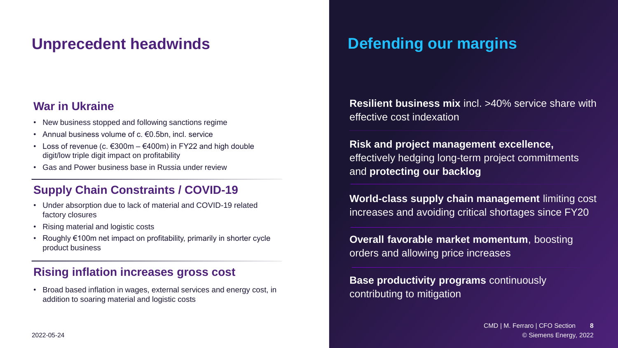#### **Unprecedent headwinds**

#### **War in Ukraine**

- New business stopped and following sanctions regime
- Annual business volume of c. €0.5bn, incl. service
- Loss of revenue (c.  $\epsilon$ 300m  $\epsilon$ 400m) in FY22 and high double digit/low triple digit impact on profitability
- Gas and Power business base in Russia under review

#### **Supply Chain Constraints / COVID-19**

- Under absorption due to lack of material and COVID-19 related factory closures
- Rising material and logistic costs
- Roughly €100m net impact on profitability, primarily in shorter cycle product business

#### **Rising inflation increases gross cost**

• Broad based inflation in wages, external services and energy cost, in addition to soaring material and logistic costs

### **Defending our margins**

**Resilient business mix** incl. >40% service share with effective cost indexation

**Risk and project management excellence,** effectively hedging long-term project commitments and **protecting our backlog**

**World-class supply chain management** limiting cost increases and avoiding critical shortages since FY20

**Overall favorable market momentum**, boosting orders and allowing price increases

**Base productivity programs** continuously contributing to mitigation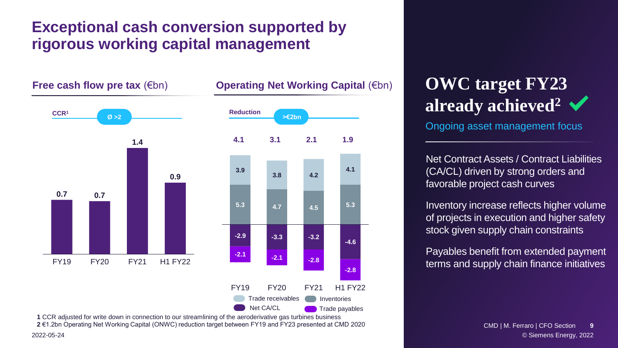#### **Exceptional cash conversion supported by rigorous working capital management**

**Free cash flow pre tax (€bn) 3.9 -3.3 -2.1 5.3 4.7 -2.9 -2.1** FY19 **3.8** FY20 **4.2 4.5 -4.6 -3.2 -2.8** FY21 **4.1 5.3 -2.8** H1 FY22 **1.4** FY19 FY20 FY21 H1 FY22 **0.7 0.7 0.9 Operating Net Working Capital (€bn) CCR<sup>1</sup> Ø >2 4.1 3.1 2.1 1.9 >€2bn Reduction** Trade payables rade receivables **Inventories** Net CA/CL

2022-05-24 **1** CCR adjusted for write down in connection to our streamlining of the aeroderivative gas turbines business **2** €1.2bn Operating Net Working Capital (ONWC) reduction target between FY19 and FY23 presented at CMD 2020

## **OWC target FY23 already achieved<sup>2</sup>**

Ongoing asset management focus

Net Contract Assets / Contract Liabilities (CA/CL) driven by strong orders and favorable project cash curves

Inventory increase reflects higher volume of projects in execution and higher safety stock given supply chain constraints

Payables benefit from extended payment payment terms terms and supply chain finance initiatives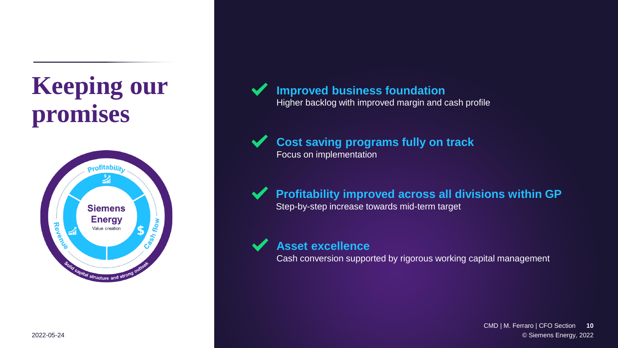## **Keeping our promises**



#### **Improved business foundation**

Higher backlog with improved margin and cash profile

**Cost saving programs fully on track** Focus on implementation

**Profitability improved across all divisions within GP** Step-by-step increase towards mid-term target

**Asset excellence** 

Cash conversion supported by rigorous working capital management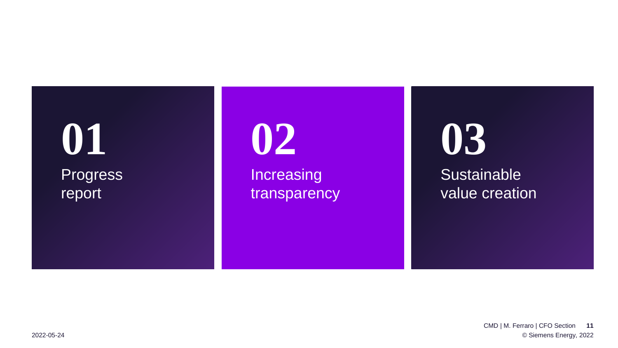## **Progress** report **01 02 03**

Increasing transparency **Sustainable** value creation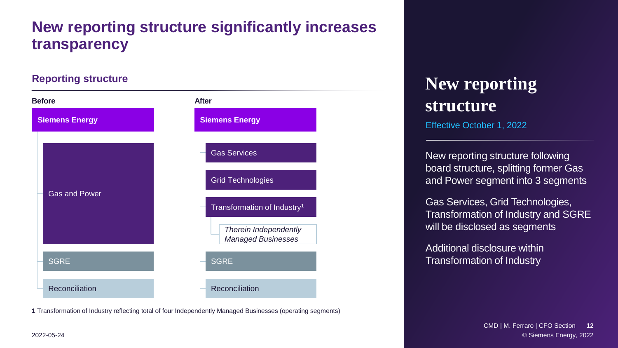#### **New reporting structure significantly increases transparency**

#### **Reporting structure**



**1** Transformation of Industry reflecting total of four Independently Managed Businesses (operating segments)

### **New reporting structure**

Effective October 1, 2022

New reporting structure following board structure, splitting former Gas and Power segment into 3 segments

Gas Services, Grid Technologies, Transformation of Industry and SGRE will be disclosed as segments

Additional disclosure within Transformation of Industry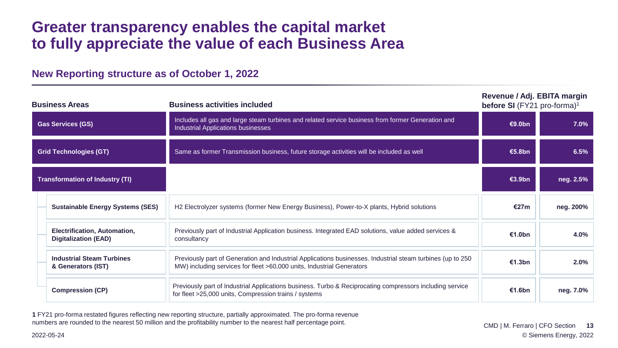#### **Greater transparency enables the capital market to fully appreciate the value of each Business Area**

| <b>Business Areas</b>                  |                                                             | <b>Business activities included</b>                                                                                                                                                 | Revenue / Adj. EBITA margin<br>before SI (FY21 pro-forma) <sup>1</sup> |           |
|----------------------------------------|-------------------------------------------------------------|-------------------------------------------------------------------------------------------------------------------------------------------------------------------------------------|------------------------------------------------------------------------|-----------|
| <b>Gas Services (GS)</b>               |                                                             | Includes all gas and large steam turbines and related service business from former Generation and<br><b>Industrial Applications businesses</b>                                      | <b>€9.0bn</b>                                                          | 7.0%      |
| <b>Grid Technologies (GT)</b>          |                                                             | Same as former Transmission business, future storage activities will be included as well                                                                                            | €5.8bn                                                                 | 6.5%      |
| <b>Transformation of Industry (TI)</b> |                                                             |                                                                                                                                                                                     | €3.9bn                                                                 | neg. 2.5% |
|                                        | <b>Sustainable Energy Systems (SES)</b>                     | H2 Electrolyzer systems (former New Energy Business), Power-to-X plants, Hybrid solutions                                                                                           |                                                                        | neg. 200% |
|                                        | Electrification, Automation,<br><b>Digitalization (EAD)</b> | Previously part of Industrial Application business. Integrated EAD solutions, value added services &<br>consultancy                                                                 | €1.0bn                                                                 | 4.0%      |
|                                        | <b>Industrial Steam Turbines</b><br>& Generators (IST)      | Previously part of Generation and Industrial Applications businesses. Industrial steam turbines (up to 250<br>MW) including services for fleet >60,000 units, Industrial Generators | €1.3bn                                                                 | 2.0%      |
|                                        | <b>Compression (CP)</b>                                     | Previously part of Industrial Applications business. Turbo & Reciprocating compressors including service<br>for fleet >25,000 units, Compression trains / systems                   | €1.6bn                                                                 | neg. 7.0% |

#### **New Reporting structure as of October 1, 2022**

**1** FY21 pro-forma restated figures reflecting new reporting structure, partially approximated. The pro-forma revenue numbers are rounded to the nearest 50 million and the profitability number to the nearest half percentage point.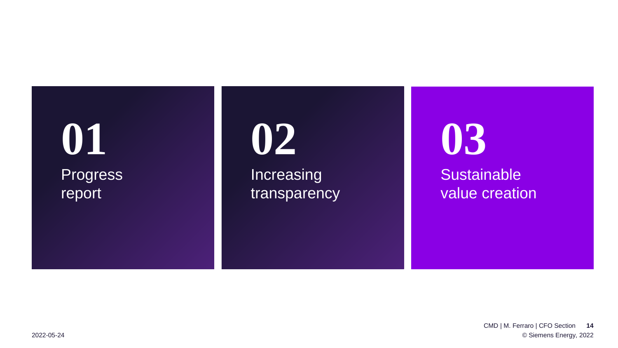## **Progress** report **01 02 03**

Increasing transparency **Sustainable** value creation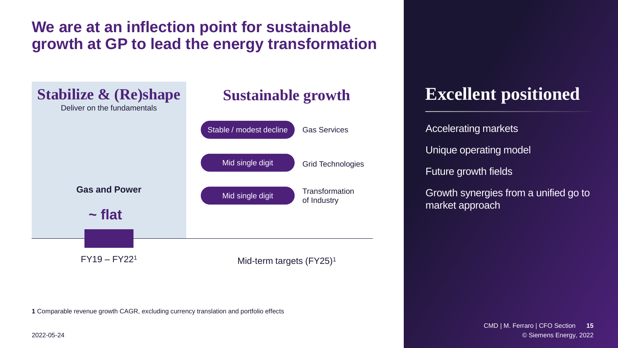#### **We are at an inflection point for sustainable growth at GP to lead the energy transformation**



**1** Comparable revenue growth CAGR, excluding currency translation and portfolio effects

**Excellent positioned** 

Accelerating markets Unique operating model Future growth fields

Growth synergies from a unified go to market approach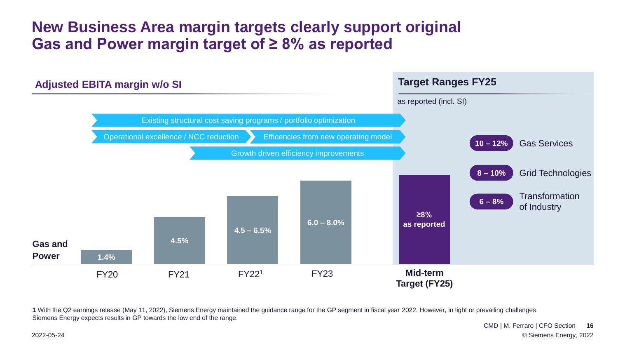#### **New Business Area margin targets clearly support original Gas and Power margin target of ≥ 8% as reported**



**1** With the Q2 earnings release (May 11, 2022), Siemens Energy maintained the guidance range for the GP segment in fiscal year 2022. However, in light or prevailing challenges Siemens Energy expects results in GP towards the low end of the range.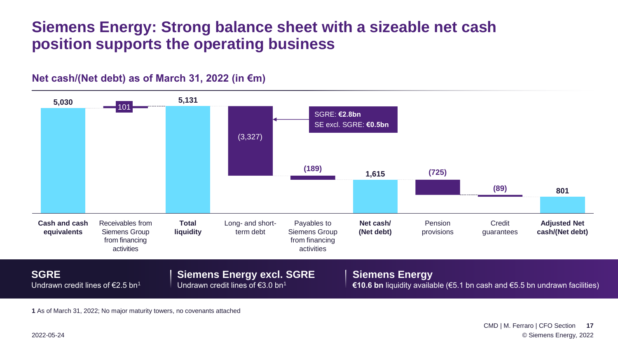#### **Siemens Energy: Strong balance sheet with a sizeable net cash position supports the operating business**



**Net cash/(Net debt) as of March 31, 2022 (in €m)**

**1** As of March 31, 2022; No major maturity towers, no covenants attached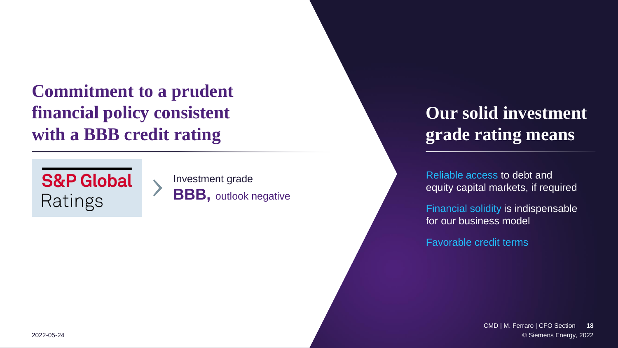**Commitment to a prudent financial policy consistent with a BBB credit rating**



Investment grade **BBB**, outlook negative

## **Our solid investment grade rating means**

Reliable access to debt and equity capital markets, if required

Financial solidity is indispensable for our business model

Favorable credit terms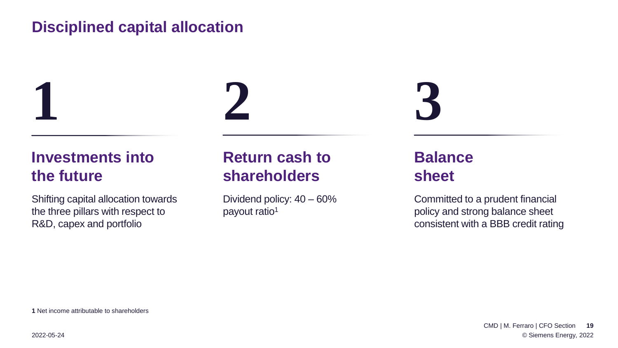#### **Disciplined capital allocation**

**Investments into the future**

Shifting capital allocation towards the three pillars with respect to R&D, capex and portfolio



### **Return cash to shareholders**

Dividend policy: 40 – 60% payout ratio<sup>1</sup>

**3**

### **Balance sheet**

Committed to a prudent financial policy and strong balance sheet consistent with a BBB credit rating

**1** Net income attributable to shareholders

**1**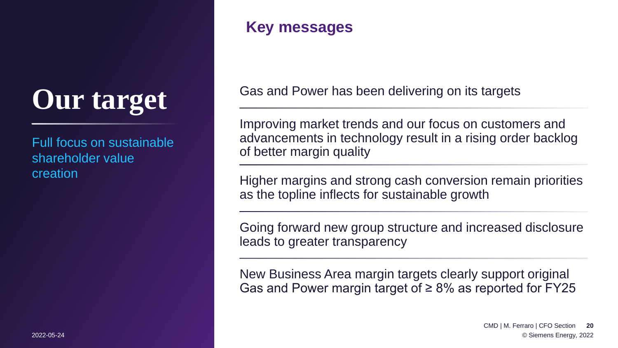# **Our target**

Full focus on sustainable shareholder value creation

#### **Key messages**

Gas and Power has been delivering on its targets

Improving market trends and our focus on customers and advancements in technology result in a rising order backlog of better margin quality

Higher margins and strong cash conversion remain priorities as the topline inflects for sustainable growth

Going forward new group structure and increased disclosure leads to greater transparency

New Business Area margin targets clearly support original Gas and Power margin target of  $\geq 8\%$  as reported for FY25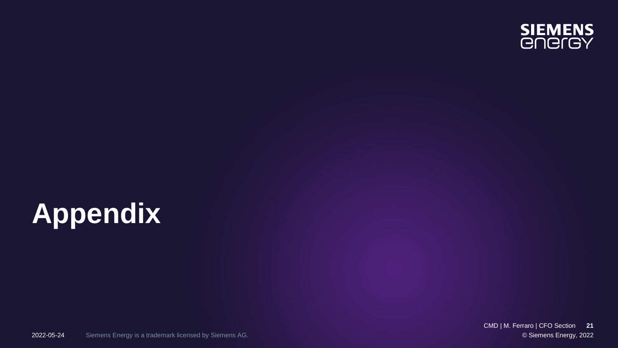

# **Appendix**

© Siemens Energy, 2022 CMD | M. Ferraro | CFO Section **21**

Siemens Energy is a trademark licensed by Siemens AG. 2022-05-24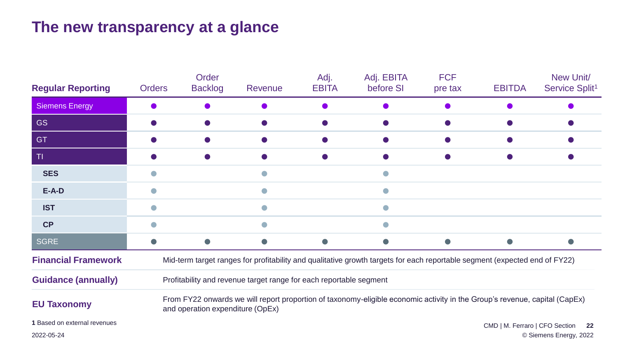### **The new transparency at a glance**

| <b>Regular Reporting</b>     | <b>Orders</b>                                                                                                                                                  | Order<br><b>Backlog</b> | Revenue | Adj.<br><b>EBITA</b> | Adj. EBITA<br>before SI | <b>FCF</b><br>pre tax | <b>EBITDA</b>                  | New Unit/<br>Service Split <sup>1</sup> |  |  |
|------------------------------|----------------------------------------------------------------------------------------------------------------------------------------------------------------|-------------------------|---------|----------------------|-------------------------|-----------------------|--------------------------------|-----------------------------------------|--|--|
| <b>Siemens Energy</b>        |                                                                                                                                                                |                         |         |                      |                         |                       |                                |                                         |  |  |
| <b>GS</b>                    |                                                                                                                                                                |                         |         |                      |                         |                       |                                |                                         |  |  |
| <b>GT</b>                    |                                                                                                                                                                |                         |         |                      |                         |                       |                                |                                         |  |  |
| T                            |                                                                                                                                                                |                         |         |                      |                         |                       |                                |                                         |  |  |
| <b>SES</b>                   |                                                                                                                                                                |                         |         |                      |                         |                       |                                |                                         |  |  |
| $E-A-D$                      | $\bullet$                                                                                                                                                      |                         |         |                      | $\Box$                  |                       |                                |                                         |  |  |
| <b>IST</b>                   |                                                                                                                                                                |                         |         |                      | $\blacksquare$          |                       |                                |                                         |  |  |
| <b>CP</b>                    |                                                                                                                                                                |                         |         |                      |                         |                       |                                |                                         |  |  |
| <b>SGRE</b>                  |                                                                                                                                                                |                         | O       | $\bullet$            | $\bullet$               |                       |                                |                                         |  |  |
| <b>Financial Framework</b>   | Mid-term target ranges for profitability and qualitative growth targets for each reportable segment (expected end of FY22)                                     |                         |         |                      |                         |                       |                                |                                         |  |  |
| <b>Guidance (annually)</b>   | Profitability and revenue target range for each reportable segment                                                                                             |                         |         |                      |                         |                       |                                |                                         |  |  |
| <b>EU Taxonomy</b>           | From FY22 onwards we will report proportion of taxonomy-eligible economic activity in the Group's revenue, capital (CapEx)<br>and operation expenditure (OpEx) |                         |         |                      |                         |                       |                                |                                         |  |  |
| 1 Based on external revenues |                                                                                                                                                                |                         |         |                      |                         |                       | CMD   M. Ferraro   CFO Section | 22                                      |  |  |
| 2022-05-24                   |                                                                                                                                                                | © Siemens Energy, 2022  |         |                      |                         |                       |                                |                                         |  |  |